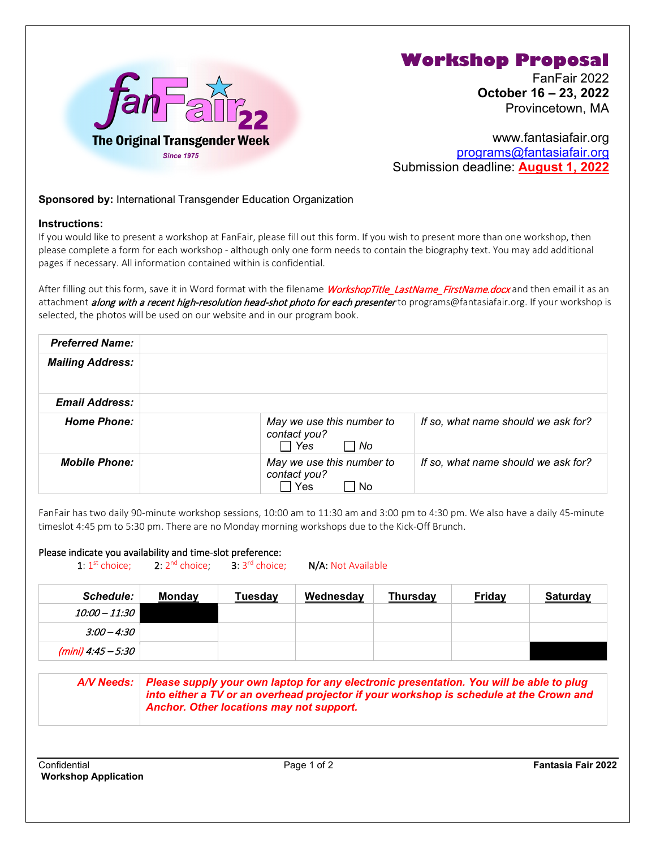

## **Workshop Proposal**

FanFair 2022 **October 16 – 23, 2022** Provincetown, MA

www.fantasiafair.org [programs@fantasiafair.org](mailto:programs@fantasiafair.org) Submission deadline: **August 1, 2022**

## **Sponsored by:** International Transgender Education Organization

## **Instructions:**

If you would like to present a workshop at FanFair, please fill out this form. If you wish to present more than one workshop, then please complete a form for each workshop - although only one form needs to contain the biography text. You may add additional pages if necessary. All information contained within is confidential.

After filling out this form, save it in Word format with the filename WorkshopTitle\_LastName\_FirstName.docx and then email it as an attachment *along with a recent high-resolution head-shot photo for each presenter* to programs@fantasiafair.org. If your workshop is selected, the photos will be used on our website and in our program book.

| <b>Preferred Name:</b>  |                                                                 |                                     |
|-------------------------|-----------------------------------------------------------------|-------------------------------------|
| <b>Mailing Address:</b> |                                                                 |                                     |
| <b>Email Address:</b>   |                                                                 |                                     |
| <b>Home Phone:</b>      | May we use this number to<br>contact you?<br>$\Box$ Yes<br>l No | If so, what name should we ask for? |
| <b>Mobile Phone:</b>    | May we use this number to<br>contact you?<br>Yes<br>No          | If so, what name should we ask for? |

FanFair has two daily 90-minute workshop sessions, 10:00 am to 11:30 am and 3:00 pm to 4:30 pm. We also have a daily 45-minute timeslot 4:45 pm to 5:30 pm. There are no Monday morning workshops due to the Kick-Off Brunch.

## Please indicate you availability and time-slot preference:

1:  $1^{st}$  choice; 2:  $2^{nd}$  choice; 3:  $3^{rd}$  choice; N/A: Not Available

| <b>Schedule:</b>         | <b>Monday</b> | Tuesdav | Wednesday | Thursday | <b>Friday</b> | <b>Saturday</b> |
|--------------------------|---------------|---------|-----------|----------|---------------|-----------------|
| 10:00 – 11:30 I          |               |         |           |          |               |                 |
| $3:00 - 4:30$            |               |         |           |          |               |                 |
| (mini) 4:45 $-$ 5:30 $ $ |               |         |           |          |               |                 |